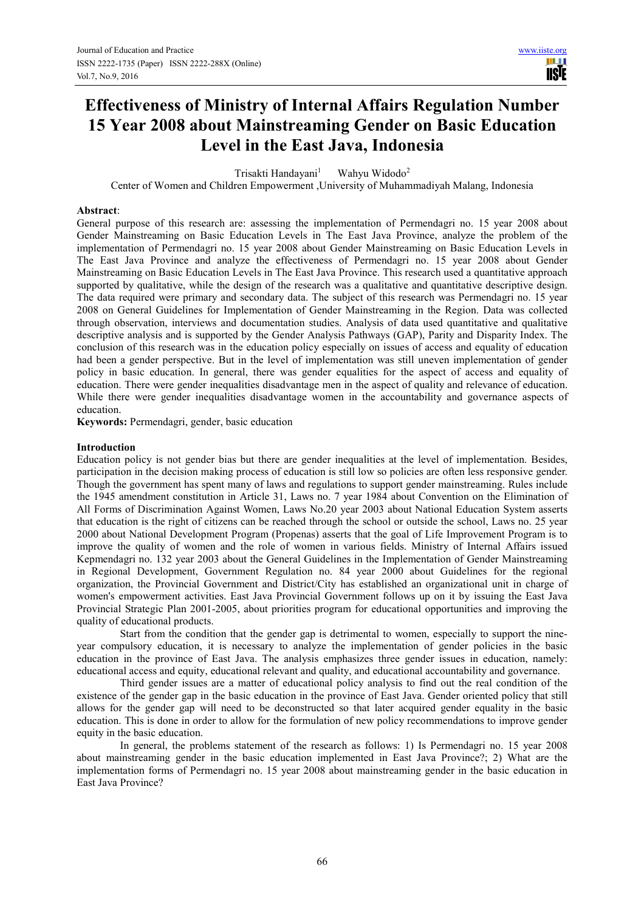m **TISIE** 

# **Effectiveness of Ministry of Internal Affairs Regulation Number 15 Year 2008 about Mainstreaming Gender on Basic Education Level in the East Java, Indonesia**

Trisakti Handavani<sup>1</sup> Wahyu Widodo<sup>2</sup>

Center of Women and Children Empowerment ,University of Muhammadiyah Malang, Indonesia

## **Abstract**:

General purpose of this research are: assessing the implementation of Permendagri no. 15 year 2008 about Gender Mainstreaming on Basic Education Levels in The East Java Province, analyze the problem of the implementation of Permendagri no. 15 year 2008 about Gender Mainstreaming on Basic Education Levels in The East Java Province and analyze the effectiveness of Permendagri no. 15 year 2008 about Gender Mainstreaming on Basic Education Levels in The East Java Province. This research used a quantitative approach supported by qualitative, while the design of the research was a qualitative and quantitative descriptive design. The data required were primary and secondary data. The subject of this research was Permendagri no. 15 year 2008 on General Guidelines for Implementation of Gender Mainstreaming in the Region. Data was collected through observation, interviews and documentation studies. Analysis of data used quantitative and qualitative descriptive analysis and is supported by the Gender Analysis Pathways (GAP), Parity and Disparity Index. The conclusion of this research was in the education policy especially on issues of access and equality of education had been a gender perspective. But in the level of implementation was still uneven implementation of gender policy in basic education. In general, there was gender equalities for the aspect of access and equality of education. There were gender inequalities disadvantage men in the aspect of quality and relevance of education. While there were gender inequalities disadvantage women in the accountability and governance aspects of education.

**Keywords:** Permendagri, gender, basic education

#### **Introduction**

Education policy is not gender bias but there are gender inequalities at the level of implementation. Besides, participation in the decision making process of education is still low so policies are often less responsive gender. Though the government has spent many of laws and regulations to support gender mainstreaming. Rules include the 1945 amendment constitution in Article 31, Laws no. 7 year 1984 about Convention on the Elimination of All Forms of Discrimination Against Women, Laws No.20 year 2003 about National Education System asserts that education is the right of citizens can be reached through the school or outside the school, Laws no. 25 year 2000 about National Development Program (Propenas) asserts that the goal of Life Improvement Program is to improve the quality of women and the role of women in various fields. Ministry of Internal Affairs issued Kepmendagri no. 132 year 2003 about the General Guidelines in the Implementation of Gender Mainstreaming in Regional Development, Government Regulation no. 84 year 2000 about Guidelines for the regional organization, the Provincial Government and District/City has established an organizational unit in charge of women's empowerment activities. East Java Provincial Government follows up on it by issuing the East Java Provincial Strategic Plan 2001-2005, about priorities program for educational opportunities and improving the quality of educational products.

Start from the condition that the gender gap is detrimental to women, especially to support the nineyear compulsory education, it is necessary to analyze the implementation of gender policies in the basic education in the province of East Java. The analysis emphasizes three gender issues in education, namely: educational access and equity, educational relevant and quality, and educational accountability and governance.

Third gender issues are a matter of educational policy analysis to find out the real condition of the existence of the gender gap in the basic education in the province of East Java. Gender oriented policy that still allows for the gender gap will need to be deconstructed so that later acquired gender equality in the basic education. This is done in order to allow for the formulation of new policy recommendations to improve gender equity in the basic education.

In general, the problems statement of the research as follows: 1) Is Permendagri no. 15 year 2008 about mainstreaming gender in the basic education implemented in East Java Province?; 2) What are the implementation forms of Permendagri no. 15 year 2008 about mainstreaming gender in the basic education in East Java Province?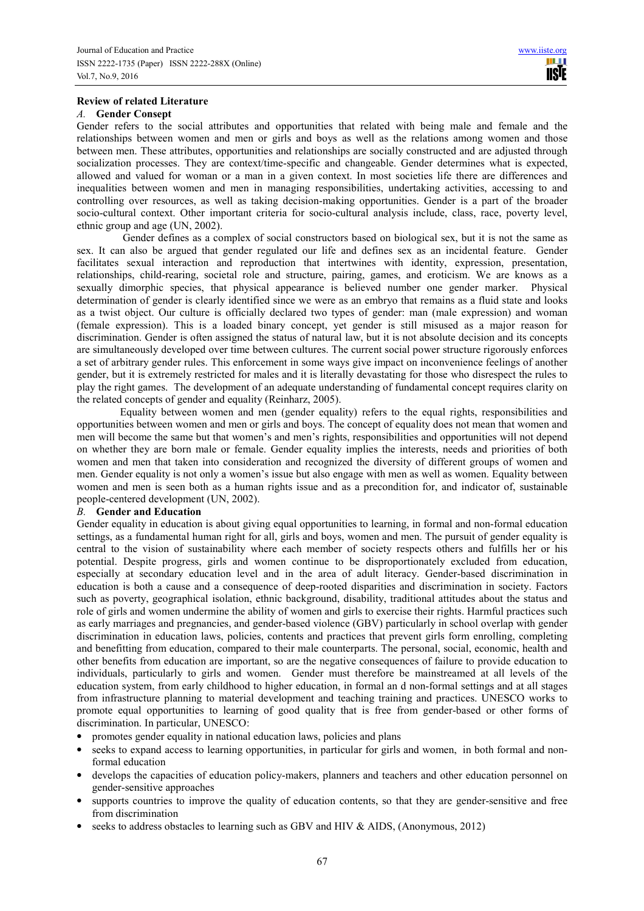# **Review of related Literature**

## *A.* **Gender Consept**

Gender refers to the social attributes and opportunities that related with being male and female and the relationships between women and men or girls and boys as well as the relations among women and those between men. These attributes, opportunities and relationships are socially constructed and are adjusted through socialization processes. They are context/time-specific and changeable. Gender determines what is expected, allowed and valued for woman or a man in a given context. In most societies life there are differences and inequalities between women and men in managing responsibilities, undertaking activities, accessing to and controlling over resources, as well as taking decision-making opportunities. Gender is a part of the broader socio-cultural context. Other important criteria for socio-cultural analysis include, class, race, poverty level, ethnic group and age (UN, 2002).

 Gender defines as a complex of social constructors based on biological sex, but it is not the same as sex. It can also be argued that gender regulated our life and defines sex as an incidental feature. Gender facilitates sexual interaction and reproduction that intertwines with identity, expression, presentation, relationships, child-rearing, societal role and structure, pairing, games, and eroticism. We are knows as a sexually dimorphic species, that physical appearance is believed number one gender marker. Physical determination of gender is clearly identified since we were as an embryo that remains as a fluid state and looks as a twist object. Our culture is officially declared two types of gender: man (male expression) and woman (female expression). This is a loaded binary concept, yet gender is still misused as a major reason for discrimination. Gender is often assigned the status of natural law, but it is not absolute decision and its concepts are simultaneously developed over time between cultures. The current social power structure rigorously enforces a set of arbitrary gender rules. This enforcement in some ways give impact on inconvenience feelings of another gender, but it is extremely restricted for males and it is literally devastating for those who disrespect the rules to play the right games. The development of an adequate understanding of fundamental concept requires clarity on the related concepts of gender and equality (Reinharz, 2005).

Equality between women and men (gender equality) refers to the equal rights, responsibilities and opportunities between women and men or girls and boys. The concept of equality does not mean that women and men will become the same but that women's and men's rights, responsibilities and opportunities will not depend on whether they are born male or female. Gender equality implies the interests, needs and priorities of both women and men that taken into consideration and recognized the diversity of different groups of women and men. Gender equality is not only a women's issue but also engage with men as well as women. Equality between women and men is seen both as a human rights issue and as a precondition for, and indicator of, sustainable people-centered development (UN, 2002).

# *B.* **Gender and Education**

Gender equality in education is about giving equal opportunities to learning, in formal and non-formal education settings, as a fundamental human right for all, girls and boys, women and men. The pursuit of gender equality is central to the vision of sustainability where each member of society respects others and fulfills her or his potential. Despite progress, girls and women continue to be disproportionately excluded from education, especially at secondary education level and in the area of adult literacy. Gender-based discrimination in education is both a cause and a consequence of deep-rooted disparities and discrimination in society. Factors such as poverty, geographical isolation, ethnic background, disability, traditional attitudes about the status and role of girls and women undermine the ability of women and girls to exercise their rights. Harmful practices such as early marriages and pregnancies, and gender-based violence (GBV) particularly in school overlap with gender discrimination in education laws, policies, contents and practices that prevent girls form enrolling, completing and benefitting from education, compared to their male counterparts. The personal, social, economic, health and other benefits from education are important, so are the negative consequences of failure to provide education to individuals, particularly to girls and women. Gender must therefore be mainstreamed at all levels of the education system, from early childhood to higher education, in formal an d non-formal settings and at all stages from infrastructure planning to material development and teaching training and practices. UNESCO works to promote equal opportunities to learning of good quality that is free from gender-based or other forms of discrimination. In particular, UNESCO:

- promotes gender equality in national education laws, policies and plans
- seeks to expand access to learning opportunities, in particular for girls and women, in both formal and nonformal education
- develops the capacities of education policy-makers, planners and teachers and other education personnel on gender-sensitive approaches
- supports countries to improve the quality of education contents, so that they are gender-sensitive and free from discrimination
- seeks to address obstacles to learning such as GBV and HIV & AIDS, (Anonymous, 2012)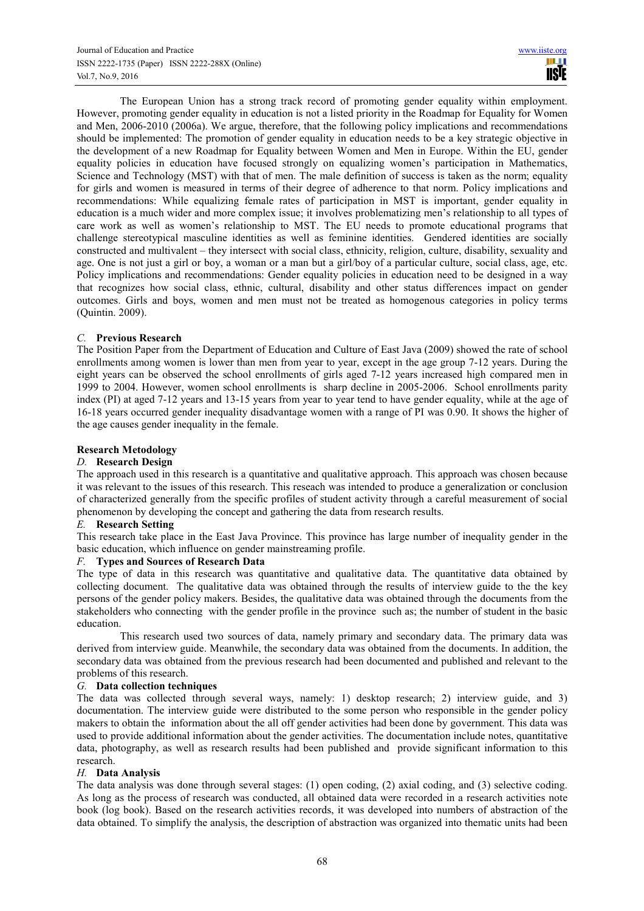The European Union has a strong track record of promoting gender equality within employment. However, promoting gender equality in education is not a listed priority in the Roadmap for Equality for Women and Men, 2006-2010 (2006a). We argue, therefore, that the following policy implications and recommendations should be implemented: The promotion of gender equality in education needs to be a key strategic objective in the development of a new Roadmap for Equality between Women and Men in Europe. Within the EU, gender equality policies in education have focused strongly on equalizing women's participation in Mathematics, Science and Technology (MST) with that of men. The male definition of success is taken as the norm; equality for girls and women is measured in terms of their degree of adherence to that norm. Policy implications and recommendations: While equalizing female rates of participation in MST is important, gender equality in education is a much wider and more complex issue; it involves problematizing men's relationship to all types of care work as well as women's relationship to MST. The EU needs to promote educational programs that challenge stereotypical masculine identities as well as feminine identities. Gendered identities are socially constructed and multivalent – they intersect with social class, ethnicity, religion, culture, disability, sexuality and age. One is not just a girl or boy, a woman or a man but a girl/boy of a particular culture, social class, age, etc. Policy implications and recommendations: Gender equality policies in education need to be designed in a way that recognizes how social class, ethnic, cultural, disability and other status differences impact on gender outcomes. Girls and boys, women and men must not be treated as homogenous categories in policy terms (Quintin. 2009).

# *C.* **Previous Research**

The Position Paper from the Department of Education and Culture of East Java (2009) showed the rate of school enrollments among women is lower than men from year to year, except in the age group 7-12 years. During the eight years can be observed the school enrollments of girls aged 7-12 years increased high compared men in 1999 to 2004. However, women school enrollments is sharp decline in 2005-2006. School enrollments parity index (PI) at aged 7-12 years and 13-15 years from year to year tend to have gender equality, while at the age of 16-18 years occurred gender inequality disadvantage women with a range of PI was 0.90. It shows the higher of the age causes gender inequality in the female.

# **Research Metodology**

### *D.* **Research Design**

The approach used in this research is a quantitative and qualitative approach. This approach was chosen because it was relevant to the issues of this research. This reseach was intended to produce a generalization or conclusion of characterized generally from the specific profiles of student activity through a careful measurement of social phenomenon by developing the concept and gathering the data from research results.

### *E.* **Research Setting**

This research take place in the East Java Province. This province has large number of inequality gender in the basic education, which influence on gender mainstreaming profile.

# *F.* **Types and Sources of Research Data**

The type of data in this research was quantitative and qualitative data. The quantitative data obtained by collecting document. The qualitative data was obtained through the results of interview guide to the the key persons of the gender policy makers. Besides, the qualitative data was obtained through the documents from the stakeholders who connecting with the gender profile in the province such as; the number of student in the basic education.

This research used two sources of data, namely primary and secondary data. The primary data was derived from interview guide. Meanwhile, the secondary data was obtained from the documents. In addition, the secondary data was obtained from the previous research had been documented and published and relevant to the problems of this research.

# *G.* **Data collection techniques**

The data was collected through several ways, namely: 1) desktop research; 2) interview guide, and 3) documentation. The interview guide were distributed to the some person who responsible in the gender policy makers to obtain the information about the all off gender activities had been done by government. This data was used to provide additional information about the gender activities. The documentation include notes, quantitative data, photography, as well as research results had been published and provide significant information to this research.

### *H.* **Data Analysis**

The data analysis was done through several stages: (1) open coding, (2) axial coding, and (3) selective coding. As long as the process of research was conducted, all obtained data were recorded in a research activities note book (log book). Based on the research activities records, it was developed into numbers of abstraction of the data obtained. To simplify the analysis, the description of abstraction was organized into thematic units had been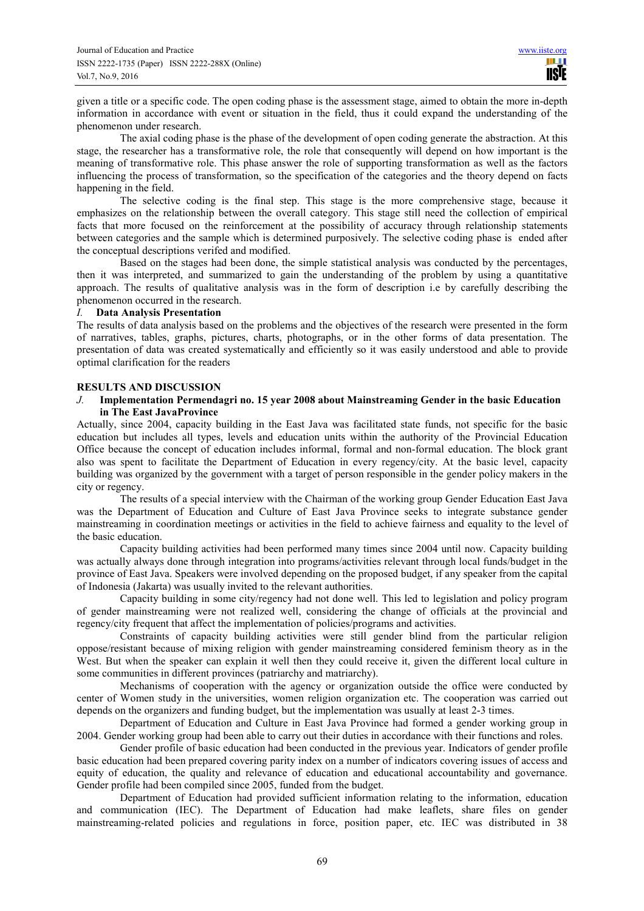given a title or a specific code. The open coding phase is the assessment stage, aimed to obtain the more in-depth information in accordance with event or situation in the field, thus it could expand the understanding of the phenomenon under research.

The axial coding phase is the phase of the development of open coding generate the abstraction. At this stage, the researcher has a transformative role, the role that consequently will depend on how important is the meaning of transformative role. This phase answer the role of supporting transformation as well as the factors influencing the process of transformation, so the specification of the categories and the theory depend on facts happening in the field.

The selective coding is the final step. This stage is the more comprehensive stage, because it emphasizes on the relationship between the overall category. This stage still need the collection of empirical facts that more focused on the reinforcement at the possibility of accuracy through relationship statements between categories and the sample which is determined purposively. The selective coding phase is ended after the conceptual descriptions verifed and modified.

Based on the stages had been done, the simple statistical analysis was conducted by the percentages, then it was interpreted, and summarized to gain the understanding of the problem by using a quantitative approach. The results of qualitative analysis was in the form of description i.e by carefully describing the phenomenon occurred in the research.

### *I.* **Data Analysis Presentation**

The results of data analysis based on the problems and the objectives of the research were presented in the form of narratives, tables, graphs, pictures, charts, photographs, or in the other forms of data presentation. The presentation of data was created systematically and efficiently so it was easily understood and able to provide optimal clarification for the readers

## **RESULTS AND DISCUSSION**

# *J.* **Implementation Permendagri no. 15 year 2008 about Mainstreaming Gender in the basic Education in The East JavaProvince**

Actually, since 2004, capacity building in the East Java was facilitated state funds, not specific for the basic education but includes all types, levels and education units within the authority of the Provincial Education Office because the concept of education includes informal, formal and non-formal education. The block grant also was spent to facilitate the Department of Education in every regency/city. At the basic level, capacity building was organized by the government with a target of person responsible in the gender policy makers in the city or regency.

The results of a special interview with the Chairman of the working group Gender Education East Java was the Department of Education and Culture of East Java Province seeks to integrate substance gender mainstreaming in coordination meetings or activities in the field to achieve fairness and equality to the level of the basic education.

Capacity building activities had been performed many times since 2004 until now. Capacity building was actually always done through integration into programs/activities relevant through local funds/budget in the province of East Java. Speakers were involved depending on the proposed budget, if any speaker from the capital of Indonesia (Jakarta) was usually invited to the relevant authorities.

Capacity building in some city/regency had not done well. This led to legislation and policy program of gender mainstreaming were not realized well, considering the change of officials at the provincial and regency/city frequent that affect the implementation of policies/programs and activities.

Constraints of capacity building activities were still gender blind from the particular religion oppose/resistant because of mixing religion with gender mainstreaming considered feminism theory as in the West. But when the speaker can explain it well then they could receive it, given the different local culture in some communities in different provinces (patriarchy and matriarchy).

Mechanisms of cooperation with the agency or organization outside the office were conducted by center of Women study in the universities, women religion organization etc. The cooperation was carried out depends on the organizers and funding budget, but the implementation was usually at least 2-3 times.

Department of Education and Culture in East Java Province had formed a gender working group in 2004. Gender working group had been able to carry out their duties in accordance with their functions and roles.

Gender profile of basic education had been conducted in the previous year. Indicators of gender profile basic education had been prepared covering parity index on a number of indicators covering issues of access and equity of education, the quality and relevance of education and educational accountability and governance. Gender profile had been compiled since 2005, funded from the budget.

Department of Education had provided sufficient information relating to the information, education and communication (IEC). The Department of Education had make leaflets, share files on gender mainstreaming-related policies and regulations in force, position paper, etc. IEC was distributed in 38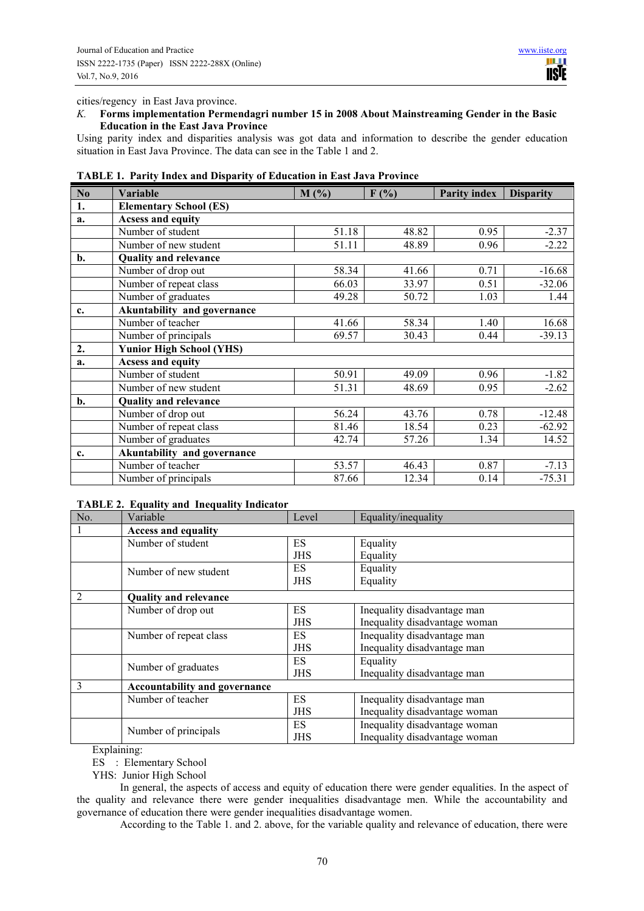cities/regency in East Java province.

## *K.* **Forms implementation Permendagri number 15 in 2008 About Mainstreaming Gender in the Basic Education in the East Java Province**

Using parity index and disparities analysis was got data and information to describe the gender education situation in East Java Province. The data can see in the Table 1 and 2.

| N <sub>o</sub> | <b>Variable</b>                 | M(%)  | F(%)  | <b>Parity index</b> | <b>Disparity</b> |  |
|----------------|---------------------------------|-------|-------|---------------------|------------------|--|
| 1.             | <b>Elementary School (ES)</b>   |       |       |                     |                  |  |
| a.             | <b>Acsess and equity</b>        |       |       |                     |                  |  |
|                | Number of student               | 51.18 | 48.82 | 0.95                | $-2.37$          |  |
|                | Number of new student           | 51.11 | 48.89 | 0.96                | $-2.22$          |  |
| b.             | <b>Quality and relevance</b>    |       |       |                     |                  |  |
|                | Number of drop out              | 58.34 | 41.66 | 0.71                | $-16.68$         |  |
|                | Number of repeat class          | 66.03 | 33.97 | 0.51                | $-32.06$         |  |
|                | Number of graduates             | 49.28 | 50.72 | 1.03                | 1.44             |  |
| c.             | Akuntability and governance     |       |       |                     |                  |  |
|                | Number of teacher               | 41.66 | 58.34 | 1.40                | 16.68            |  |
|                | Number of principals            | 69.57 | 30.43 | 0.44                | $-39.13$         |  |
| 2.             | <b>Yunior High School (YHS)</b> |       |       |                     |                  |  |
| a.             | <b>Acsess and equity</b>        |       |       |                     |                  |  |
|                | Number of student               | 50.91 | 49.09 | 0.96                | $-1.82$          |  |
|                | Number of new student           | 51.31 | 48.69 | 0.95                | $-2.62$          |  |
| $\mathbf{b}$ . | <b>Quality and relevance</b>    |       |       |                     |                  |  |
|                | Number of drop out              | 56.24 | 43.76 | 0.78                | $-12.48$         |  |
|                | Number of repeat class          | 81.46 | 18.54 | 0.23                | $-62.92$         |  |
|                | Number of graduates             | 42.74 | 57.26 | 1.34                | 14.52            |  |
| c.             | Akuntability and governance     |       |       |                     |                  |  |
|                | Number of teacher               | 53.57 | 46.43 | 0.87                | $-7.13$          |  |
|                | Number of principals            | 87.66 | 12.34 | 0.14                | $-75.31$         |  |

**TABLE 1. Parity Index and Disparity of Education in East Java Province** 

## **TABLE 2. Equality and Inequality Indicator**

| No.            | Variable                      | Level      | Equality/inequality           |  |  |
|----------------|-------------------------------|------------|-------------------------------|--|--|
|                | <b>Access and equality</b>    |            |                               |  |  |
|                | Number of student             | ES         | Equality                      |  |  |
|                |                               | JHS        | Equality                      |  |  |
|                | Number of new student         | ES.        | Equality                      |  |  |
|                |                               | <b>JHS</b> | Equality                      |  |  |
| $\overline{2}$ | <b>Quality and relevance</b>  |            |                               |  |  |
|                | Number of drop out            | ES.        | Inequality disadvantage man   |  |  |
|                |                               | <b>JHS</b> | Inequality disadvantage woman |  |  |
|                | Number of repeat class        | ES.        | Inequality disadvantage man   |  |  |
|                |                               | <b>JHS</b> | Inequality disadvantage man   |  |  |
|                | Number of graduates           | ES.        | Equality                      |  |  |
|                |                               | <b>JHS</b> | Inequality disadvantage man   |  |  |
| 3              | Accountability and governance |            |                               |  |  |
|                | Number of teacher             | ES         | Inequality disadvantage man   |  |  |
|                |                               | JHS        | Inequality disadvantage woman |  |  |
|                |                               | ES         | Inequality disadvantage woman |  |  |
|                | Number of principals          | JHS        | Inequality disadvantage woman |  |  |

Explaining:

ES : Elementary School

YHS: Junior High School

In general, the aspects of access and equity of education there were gender equalities. In the aspect of the quality and relevance there were gender inequalities disadvantage men. While the accountability and governance of education there were gender inequalities disadvantage women.

According to the Table 1. and 2. above, for the variable quality and relevance of education, there were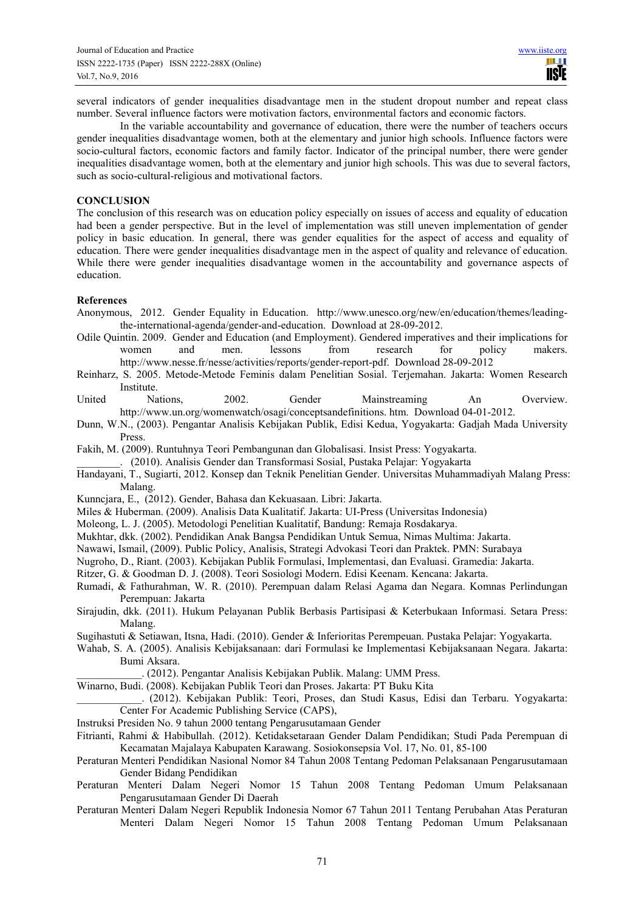several indicators of gender inequalities disadvantage men in the student dropout number and repeat class number. Several influence factors were motivation factors, environmental factors and economic factors.

In the variable accountability and governance of education, there were the number of teachers occurs gender inequalities disadvantage women, both at the elementary and junior high schools. Influence factors were socio-cultural factors, economic factors and family factor. Indicator of the principal number, there were gender inequalities disadvantage women, both at the elementary and junior high schools. This was due to several factors, such as socio-cultural-religious and motivational factors.

## **CONCLUSION**

The conclusion of this research was on education policy especially on issues of access and equality of education had been a gender perspective. But in the level of implementation was still uneven implementation of gender policy in basic education. In general, there was gender equalities for the aspect of access and equality of education. There were gender inequalities disadvantage men in the aspect of quality and relevance of education. While there were gender inequalities disadvantage women in the accountability and governance aspects of education.

## **References**

- Anonymous, 2012. Gender Equality in Education. http://www.unesco.org/new/en/education/themes/leadingthe-international-agenda/gender-and-education. Download at 28-09-2012.
- Odile Quintin. 2009. Gender and Education (and Employment). Gendered imperatives and their implications for women and men. lessons from research for policy makers. http://www.nesse.fr/nesse/activities/reports/gender-report-pdf. Download 28-09-2012
- Reinharz, S. 2005. Metode-Metode Feminis dalam Penelitian Sosial. Terjemahan. Jakarta: Women Research Institute.
- United Nations, 2002. Gender Mainstreaming An Overview. http://www.un.org/womenwatch/osagi/conceptsandefinitions. htm. Download 04-01-2012.
- Dunn, W.N., (2003). Pengantar Analisis Kebijakan Publik, Edisi Kedua, Yogyakarta: Gadjah Mada University Press.
- Fakih, M. (2009). Runtuhnya Teori Pembangunan dan Globalisasi. Insist Press: Yogyakarta.

\_\_\_\_\_\_\_\_. (2010). Analisis Gender dan Transformasi Sosial, Pustaka Pelajar: Yogyakarta

- Handayani, T., Sugiarti, 2012. Konsep dan Teknik Penelitian Gender. Universitas Muhammadiyah Malang Press: Malang.
- Kunncjara, E., (2012). Gender, Bahasa dan Kekuasaan. Libri: Jakarta.
- Miles & Huberman. (2009). Analisis Data Kualitatif. Jakarta: UI-Press (Universitas Indonesia)
- Moleong, L. J. (2005). Metodologi Penelitian Kualitatif, Bandung: Remaja Rosdakarya.
- Mukhtar, dkk. (2002). Pendidikan Anak Bangsa Pendidikan Untuk Semua, Nimas Multima: Jakarta.
- Nawawi, Ismail, (2009). Public Policy, Analisis, Strategi Advokasi Teori dan Praktek. PMN: Surabaya
- Nugroho, D., Riant. (2003). Kebijakan Publik Formulasi, Implementasi, dan Evaluasi. Gramedia: Jakarta.
- Ritzer, G. & Goodman D. J. (2008). Teori Sosiologi Modern. Edisi Keenam. Kencana: Jakarta.
- Rumadi, & Fathurahman, W. R. (2010). Perempuan dalam Relasi Agama dan Negara. Komnas Perlindungan Perempuan: Jakarta
- Sirajudin, dkk. (2011). Hukum Pelayanan Publik Berbasis Partisipasi & Keterbukaan Informasi. Setara Press: Malang.
- Sugihastuti & Setiawan, Itsna, Hadi. (2010). Gender & Inferioritas Perempeuan. Pustaka Pelajar: Yogyakarta.
- Wahab, S. A. (2005). Analisis Kebijaksanaan: dari Formulasi ke Implementasi Kebijaksanaan Negara. Jakarta: Bumi Aksara.
	- \_\_\_\_\_\_\_\_\_\_\_\_. (2012). Pengantar Analisis Kebijakan Publik. Malang: UMM Press.
- Winarno, Budi. (2008). Kebijakan Publik Teori dan Proses. Jakarta: PT Buku Kita
	- \_\_\_\_\_\_\_\_\_\_\_\_. (2012). Kebijakan Publik: Teori, Proses, dan Studi Kasus, Edisi dan Terbaru. Yogyakarta: Center For Academic Publishing Service (CAPS),
- Instruksi Presiden No. 9 tahun 2000 tentang Pengarusutamaan Gender
- Fitrianti, Rahmi & Habibullah. (2012). Ketidaksetaraan Gender Dalam Pendidikan; Studi Pada Perempuan di Kecamatan Majalaya Kabupaten Karawang. Sosiokonsepsia Vol. 17, No. 01, 85-100
- Peraturan Menteri Pendidikan Nasional Nomor 84 Tahun 2008 Tentang Pedoman Pelaksanaan Pengarusutamaan Gender Bidang Pendidikan
- Peraturan Menteri Dalam Negeri Nomor 15 Tahun 2008 Tentang Pedoman Umum Pelaksanaan Pengarusutamaan Gender Di Daerah
- Peraturan Menteri Dalam Negeri Republik Indonesia Nomor 67 Tahun 2011 Tentang Perubahan Atas Peraturan Menteri Dalam Negeri Nomor 15 Tahun 2008 Tentang Pedoman Umum Pelaksanaan